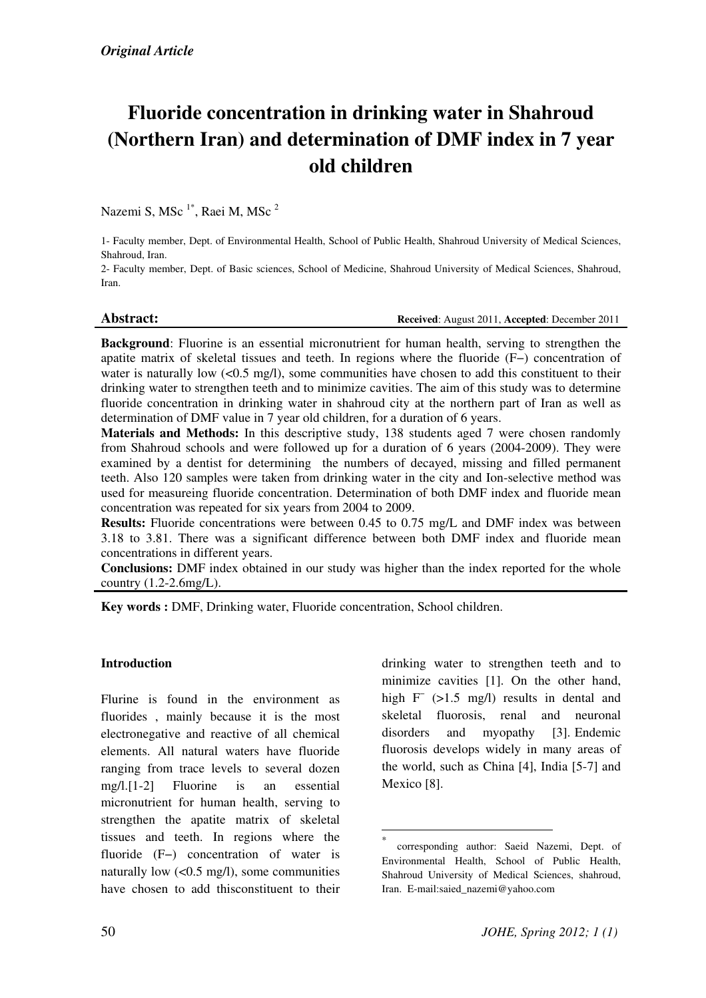# Fluoride concentration in drinking water in Shahroud (Northern Iran) and determination of DMF index in 7 year old children

Nazemi S, MSc<sup>1\*</sup>, Raei M, MSc<sup>2</sup>

1- Faculty member, Dept. of Environmental Health, School of Public Health, Shahroud University of Medical Sciences, Shahroud, Iran.

2- Faculty member, Dept. of Basic sciences, School of Medicine, Shahroud University of Medical Sciences, Shahroud, Iran.

Abstract: Received: August 2011, Accepted: December 2011

Background: Fluorine is an essential micronutrient for human health, serving to strengthen the apatite matrix of skeletal tissues and teeth. In regions where the fluoride (F−) concentration of water is naturally low  $\langle 0.5 \text{ mg/l} \rangle$ , some communities have chosen to add this constituent to their drinking water to strengthen teeth and to minimize cavities. The aim of this study was to determine fluoride concentration in drinking water in shahroud city at the northern part of Iran as well as determination of DMF value in 7 year old children, for a duration of 6 years.

Materials and Methods: In this descriptive study, 138 students aged 7 were chosen randomly from Shahroud schools and were followed up for a duration of 6 years (2004-2009). They were examined by a dentist for determining the numbers of decayed, missing and filled permanent teeth. Also 120 samples were taken from drinking water in the city and Ion-selective method was used for measureing fluoride concentration. Determination of both DMF index and fluoride mean concentration was repeated for six years from 2004 to 2009.

Results: Fluoride concentrations were between 0.45 to 0.75 mg/L and DMF index was between 3.18 to 3.81. There was a significant difference between both DMF index and fluoride mean concentrations in different years.

Conclusions: DMF index obtained in our study was higher than the index reported for the whole country (1.2-2.6mg/L).

 $\overline{a}$ 

Key words : DMF, Drinking water, Fluoride concentration, School children.

# **Introduction**

Flurine is found in the environment as fluorides , mainly because it is the most electronegative and reactive of all chemical elements. All natural waters have fluoride ranging from trace levels to several dozen mg/l.[1-2] Fluorine is an essential micronutrient for human health, serving to strengthen the apatite matrix of skeletal tissues and teeth. In regions where the fluoride (F−) concentration of water is naturally low  $(<0.5 \text{ mg/l})$ , some communities have chosen to add thisconstituent to their drinking water to strengthen teeth and to minimize cavities [1]. On the other hand, high F<sup>−</sup> (>1.5 mg/l) results in dental and skeletal fluorosis, renal and neuronal disorders and myopathy [3]. Endemic fluorosis develops widely in many areas of the world, such as China [4], India [5-7] and Mexico [8].

<sup>\*</sup> corresponding author: Saeid Nazemi, Dept. of Environmental Health, School of Public Health, Shahroud University of Medical Sciences, shahroud, Iran. E-mail:saied\_nazemi@yahoo.com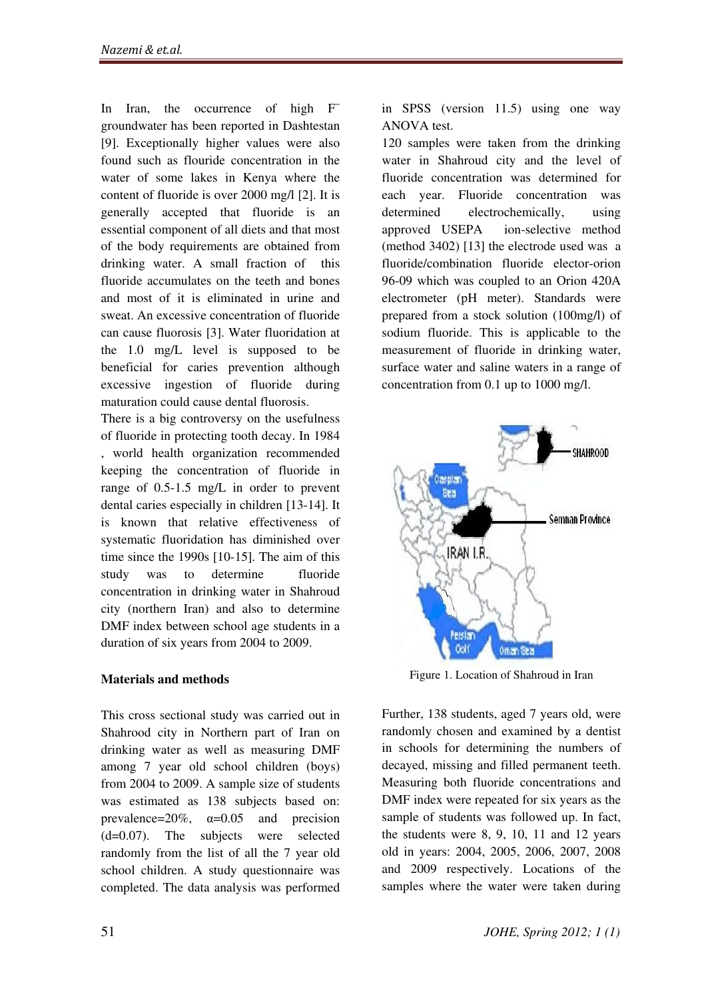In Iran, the occurrence of high F<sup>−</sup> groundwater has been reported in Dashtestan [9]. Exceptionally higher values were also found such as flouride concentration in the water of some lakes in Kenya where the content of fluoride is over 2000 mg/l [2]. It is generally accepted that fluoride is an essential component of all diets and that most of the body requirements are obtained from drinking water. A small fraction of this fluoride accumulates on the teeth and bones and most of it is eliminated in urine and sweat. An excessive concentration of fluoride can cause fluorosis [3]. Water fluoridation at the 1.0 mg/L level is supposed to be beneficial for caries prevention although excessive ingestion of fluoride during maturation could cause dental fluorosis.

There is a big controversy on the usefulness of fluoride in protecting tooth decay. In 1984 , world health organization recommended keeping the concentration of fluoride in range of 0.5-1.5 mg/L in order to prevent dental caries especially in children [13-14]. It is known that relative effectiveness of systematic fluoridation has diminished over time since the 1990s [10-15]. The aim of this study was to determine fluoride concentration in drinking water in Shahroud city (northern Iran) and also to determine DMF index between school age students in a duration of six years from 2004 to 2009.

# Materials and methods

This cross sectional study was carried out in Shahrood city in Northern part of Iran on drinking water as well as measuring DMF among 7 year old school children (boys) from 2004 to 2009. A sample size of students was estimated as 138 subjects based on: prevalence= $20\%$ ,  $\alpha=0.05$  and precision (d=0.07). The subjects were selected randomly from the list of all the 7 year old school children. A study questionnaire was completed. The data analysis was performed

in SPSS (version 11.5) using one way ANOVA test.

120 samples were taken from the drinking water in Shahroud city and the level of fluoride concentration was determined for each year. Fluoride concentration was determined electrochemically, using approved USEPA ion-selective method (method 3402) [13] the electrode used was a fluoride/combination fluoride elector-orion 96-09 which was coupled to an Orion 420A electrometer (pH meter). Standards were prepared from a stock solution (100mg/l) of sodium fluoride. This is applicable to the measurement of fluoride in drinking water, surface water and saline waters in a range of concentration from 0.1 up to 1000 mg/l.



Figure 1. Location of Shahroud in Iran

Further, 138 students, aged 7 years old, were randomly chosen and examined by a dentist in schools for determining the numbers of decayed, missing and filled permanent teeth. Measuring both fluoride concentrations and DMF index were repeated for six years as the sample of students was followed up. In fact, the students were 8, 9, 10, 11 and 12 years old in years: 2004, 2005, 2006, 2007, 2008 and 2009 respectively. Locations of the samples where the water were taken during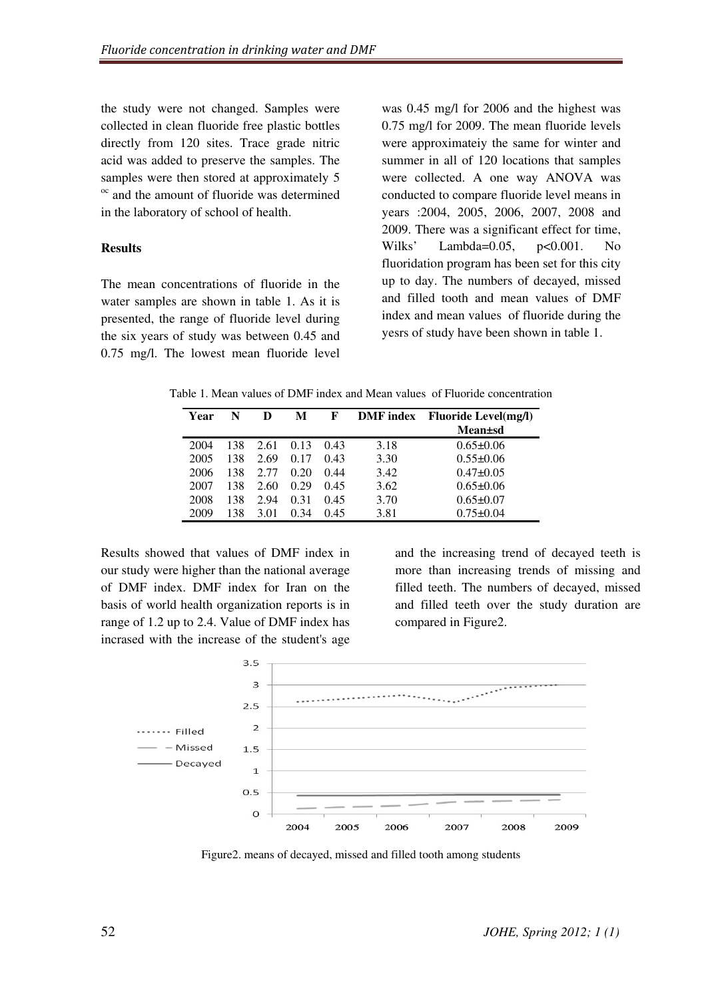the study were not changed. Samples were collected in clean fluoride free plastic bottles directly from 120 sites. Trace grade nitric acid was added to preserve the samples. The samples were then stored at approximately 5 <sup>oc</sup> and the amount of fluoride was determined in the laboratory of school of health.

### **Results**

The mean concentrations of fluoride in the water samples are shown in table 1. As it is presented, the range of fluoride level during the six years of study was between 0.45 and 0.75 mg/l. The lowest mean fluoride level was 0.45 mg/l for 2006 and the highest was 0.75 mg/l for 2009. The mean fluoride levels were approximateiy the same for winter and summer in all of 120 locations that samples were collected. A one way ANOVA was conducted to compare fluoride level means in years :2004, 2005, 2006, 2007, 2008 and 2009. There was a significant effect for time, Wilks' Lambda=0.05, p<0.001. No fluoridation program has been set for this city up to day. The numbers of decayed, missed and filled tooth and mean values of DMF index and mean values of fluoride during the yesrs of study have been shown in table 1.

Table 1. Mean values of DMF index and Mean values of Fluoride concentration

| Year | N   |      | М    | F    | <b>DMF</b> index | <b>Fluoride Level(mg/l)</b> |
|------|-----|------|------|------|------------------|-----------------------------|
|      |     |      |      |      |                  | <b>Mean</b> ±sd             |
| 2004 | 138 | 2.61 | 0.13 | 0.43 | 3.18             | $0.65 \pm 0.06$             |
| 2005 | 138 | 2.69 | 0.17 | 0.43 | 3.30             | $0.55 \pm 0.06$             |
| 2006 | 138 | 2.77 | 0.20 | 0.44 | 3.42             | $0.47 \pm 0.05$             |
| 2007 | 138 | 2.60 | 0.29 | 0.45 | 3.62             | $0.65 \pm 0.06$             |
| 2008 | 138 | 2.94 | 0.31 | 0.45 | 3.70             | $0.65 \pm 0.07$             |
| 2009 | 138 | 3.01 | 0.34 | 0.45 | 3.81             | $0.75 + 0.04$               |

Results showed that values of DMF index in our study were higher than the national average of DMF index. DMF index for Iran on the basis of world health organization reports is in range of 1.2 up to 2.4. Value of DMF index has incrased with the increase of the student's age and the increasing trend of decayed teeth is more than increasing trends of missing and filled teeth. The numbers of decayed, missed and filled teeth over the study duration are compared in Figure2.



Figure2. means of decayed, missed and filled tooth among students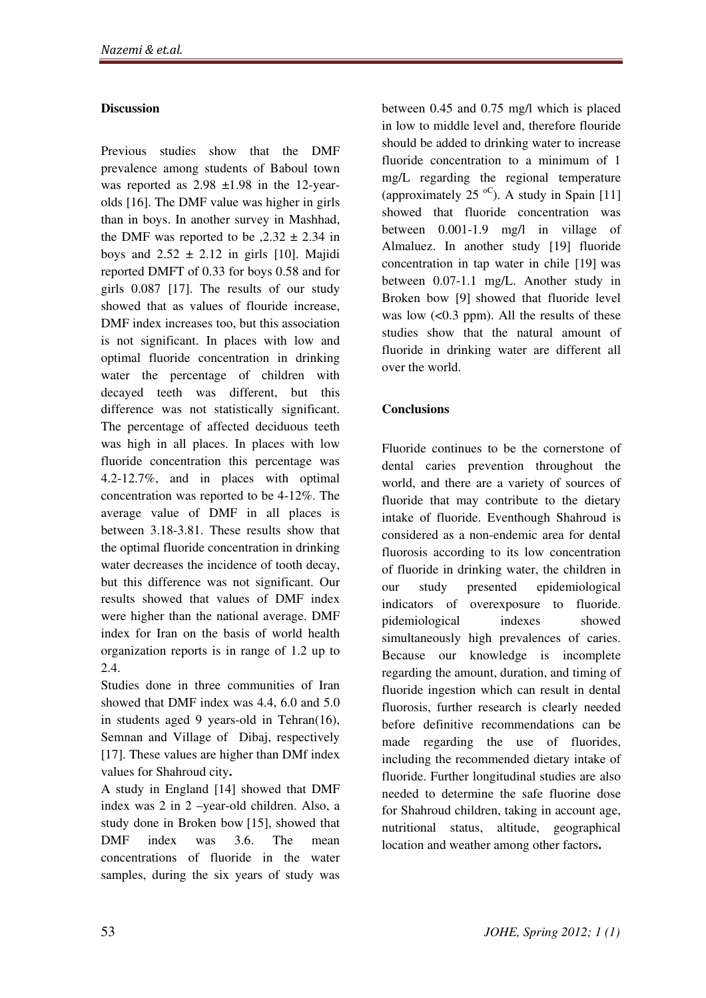# **Discussion**

Previous studies show that the DMF prevalence among students of Baboul town was reported as  $2.98 \pm 1.98$  in the 12-yearolds [16]. The DMF value was higher in girls than in boys. In another survey in Mashhad, the DMF was reported to be  $,2.32 \pm 2.34$  in boys and  $2.52 \pm 2.12$  in girls [10]. Majidi reported DMFT of 0.33 for boys 0.58 and for girls 0.087 [17]. The results of our study showed that as values of flouride increase, DMF index increases too, but this association is not significant. In places with low and optimal fluoride concentration in drinking water the percentage of children with decayed teeth was different, but this difference was not statistically significant. The percentage of affected deciduous teeth was high in all places. In places with low fluoride concentration this percentage was 4.2-12.7%, and in places with optimal concentration was reported to be 4-12%. The average value of DMF in all places is between 3.18-3.81. These results show that the optimal fluoride concentration in drinking water decreases the incidence of tooth decay, but this difference was not significant. Our results showed that values of DMF index were higher than the national average. DMF index for Iran on the basis of world health organization reports is in range of 1.2 up to 2.4.

Studies done in three communities of Iran showed that DMF index was 4.4, 6.0 and 5.0 in students aged 9 years-old in Tehran $(16)$ , Semnan and Village of Dibaj, respectively [17]. These values are higher than DMf index values for Shahroud city.

A study in England [14] showed that DMF index was 2 in 2 –year-old children. Also, a study done in Broken bow [15], showed that DMF index was 3.6. The mean concentrations of fluoride in the water samples, during the six years of study was

between 0.45 and 0.75 mg/l which is placed in low to middle level and, therefore flouride should be added to drinking water to increase fluoride concentration to a minimum of 1 mg/L regarding the regional temperature (approximately 25  $\rm{^{oC}}$ ). A study in Spain [11] showed that fluoride concentration was between 0.001-1.9 mg/l in village of Almaluez. In another study [19] fluoride concentration in tap water in chile [19] was between 0.07-1.1 mg/L. Another study in Broken bow [9] showed that fluoride level was low  $(< 0.3$  ppm). All the results of these studies show that the natural amount of fluoride in drinking water are different all over the world.

# **Conclusions**

Fluoride continues to be the cornerstone of dental caries prevention throughout the world, and there are a variety of sources of fluoride that may contribute to the dietary intake of fluoride. Eventhough Shahroud is considered as a non-endemic area for dental fluorosis according to its low concentration of fluoride in drinking water, the children in our study presented epidemiological indicators of overexposure to fluoride. pidemiological indexes showed simultaneously high prevalences of caries. Because our knowledge is incomplete regarding the amount, duration, and timing of fluoride ingestion which can result in dental fluorosis, further research is clearly needed before definitive recommendations can be made regarding the use of fluorides, including the recommended dietary intake of fluoride. Further longitudinal studies are also needed to determine the safe fluorine dose for Shahroud children, taking in account age, nutritional status, altitude, geographical location and weather among other factors.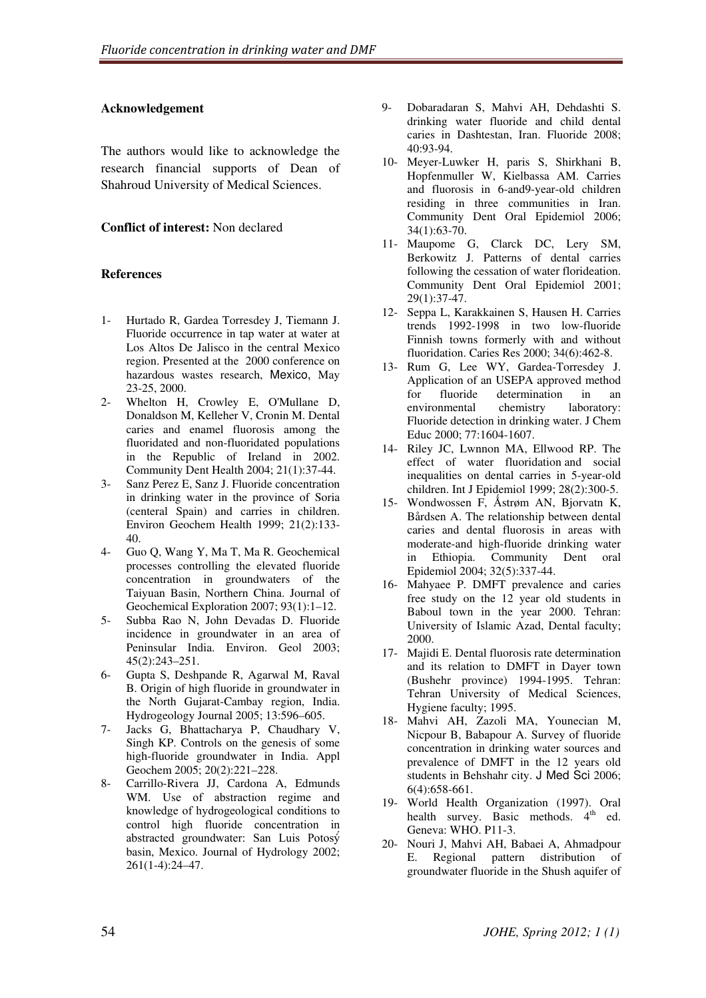### Acknowledgement

The authors would like to acknowledge the research financial supports of Dean of Shahroud University of Medical Sciences.

# Conflict of interest: Non declared

#### References

- 1- Hurtado R, Gardea Torresdey J, Tiemann J. Fluoride occurrence in tap water at water at Los Altos De Jalisco in the central Mexico region. Presented at the 2000 conference on hazardous wastes research, Mexico, May 23-25, 2000.
- 2- Whelton H, Crowley E, O'Mullane D, Donaldson M, Kelleher V, Cronin M. Dental caries and enamel fluorosis among the fluoridated and non-fluoridated populations in the Republic of Ireland in 2002. Community Dent Health 2004; 21(1):37-44.
- 3- Sanz Perez E, Sanz J. Fluoride concentration in drinking water in the province of Soria (centeral Spain) and carries in children. Environ Geochem Health 1999; 21(2):133- 40.
- 4- Guo Q, Wang Y, Ma T, Ma R. Geochemical processes controlling the elevated fluoride concentration in groundwaters of the Taiyuan Basin, Northern China. Journal of Geochemical Exploration 2007; 93(1):1–12.
- 5- Subba Rao N, John Devadas D. Fluoride incidence in groundwater in an area of Peninsular India. Environ. Geol 2003; 45(2):243–251.
- 6- Gupta S, Deshpande R, Agarwal M, Raval B. Origin of high fluoride in groundwater in the North Gujarat-Cambay region, India. Hydrogeology Journal 2005; 13:596–605.
- 7- Jacks G, Bhattacharya P, Chaudhary V, Singh KP. Controls on the genesis of some high-fluoride groundwater in India. Appl Geochem 2005; 20(2):221–228.
- 8- Carrillo-Rivera JJ, Cardona A, Edmunds WM. Use of abstraction regime and knowledge of hydrogeological conditions to control high fluoride concentration in abstracted groundwater: San Luis Potosý basin, Mexico. Journal of Hydrology 2002; 261(1-4):24–47.
- 9- Dobaradaran S, Mahvi AH, Dehdashti S. drinking water fluoride and child dental caries in Dashtestan, Iran. Fluoride 2008; 40:93-94.
- 10- Meyer-Luwker H, paris S, Shirkhani B, Hopfenmuller W, Kielbassa AM. Carries and fluorosis in 6-and9-year-old children residing in three communities in Iran. Community Dent Oral Epidemiol 2006; 34(1):63-70.
- 11- Maupome G, Clarck DC, Lery SM, Berkowitz J. Patterns of dental carries following the cessation of water florideation. Community Dent Oral Epidemiol 2001; 29(1):37-47.
- 12- Seppa L, Karakkainen S, Hausen H. Carries trends 1992-1998 in two low-fluoride Finnish towns formerly with and without fluoridation. Caries Res 2000; 34(6):462-8.
- 13- Rum G, Lee WY, Gardea-Torresdey J. Application of an USEPA approved method for fluoride determination in an environmental chemistry laboratory: Fluoride detection in drinking water. J Chem Educ 2000; 77:1604-1607.
- 14- Riley JC, Lwnnon MA, Ellwood RP. The effect of water fluoridation and social inequalities on dental carries in 5-year-old children. Int J Epidemiol 1999; 28(2):300-5.
- 15- Wondwossen F, Åstrøm AN, Bjorvatn K, Bårdsen A. The relationship between dental caries and dental fluorosis in areas with moderate-and high-fluoride drinking water in Ethiopia. Community Dent oral Epidemiol 2004; 32(5):337-44.
- 16- Mahyaee P. DMFT prevalence and caries free study on the 12 year old students in Baboul town in the year 2000. Tehran: University of Islamic Azad, Dental faculty; 2000.
- 17- Majidi E. Dental fluorosis rate determination and its relation to DMFT in Dayer town (Bushehr province) 1994-1995. Tehran: Tehran University of Medical Sciences, Hygiene faculty; 1995.
- 18- Mahvi AH, Zazoli MA, Younecian M, Nicpour B, Babapour A. Survey of fluoride concentration in drinking water sources and prevalence of DMFT in the 12 years old students in Behshahr city. J Med Sci 2006; 6(4):658-661.
- 19- World Health Organization (1997). Oral health survey. Basic methods. 4<sup>th</sup> ed. Geneva: WHO. P11-3.
- 20- Nouri J, Mahvi AH, Babaei A, Ahmadpour E. Regional pattern distribution of groundwater fluoride in the Shush aquifer of